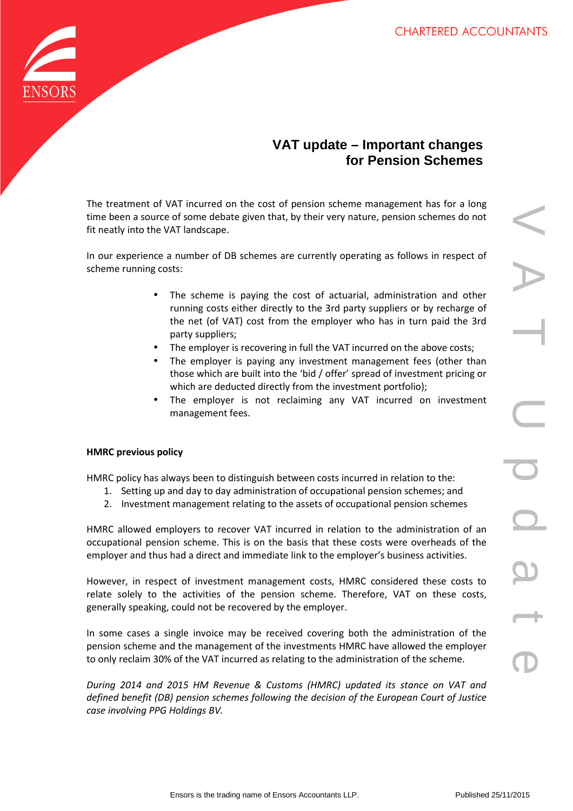

# **VAT update – Important changes for Pension Schemes**

The treatment of VAT incurred on the cost of pension scheme management has for a long time been a source of some debate given that, by their very nature, pension schemes do not fit neatly into the VAT landscape.

In our experience a number of DB schemes are currently operating as follows in respect of scheme running costs:

- The scheme is paying the cost of actuarial, administration and other running costs either directly to the 3rd party suppliers or by recharge of the net (of VAT) cost from the employer who has in turn paid the 3rd party suppliers;
- The employer is recovering in full the VAT incurred on the above costs;
- The employer is paying any investment management fees (other than those which are built into the 'bid / offer' spread of investment pricing or which are deducted directly from the investment portfolio);
- The employer is not reclaiming any VAT incurred on investment management fees.

## **HMRC previous policy**

HMRC policy has always been to distinguish between costs incurred in relation to the:

- 1. Setting up and day to day administration of occupational pension schemes; and
- 2. Investment management relating to the assets of occupational pension schemes

HMRC allowed employers to recover VAT incurred in relation to the administration of an occupational pension scheme. This is on the basis that these costs were overheads of the employer and thus had a direct and immediate link to the employer's business activities.

However, in respect of investment management costs, HMRC considered these costs to relate solely to the activities of the pension scheme. Therefore, VAT on these costs, generally speaking, could not be recovered by the employer.

In some cases a single invoice may be received covering both the administration of the pension scheme and the management of the investments HMRC have allowed the employer to only reclaim 30% of the VAT incurred as relating to the administration of the scheme.

*During 2014 and 2015 HM Revenue & Customs (HMRC) updated its stance on VAT and defined benefit (DB) pension schemes following the decision of the European Court of Justice case involving PPG Holdings BV.*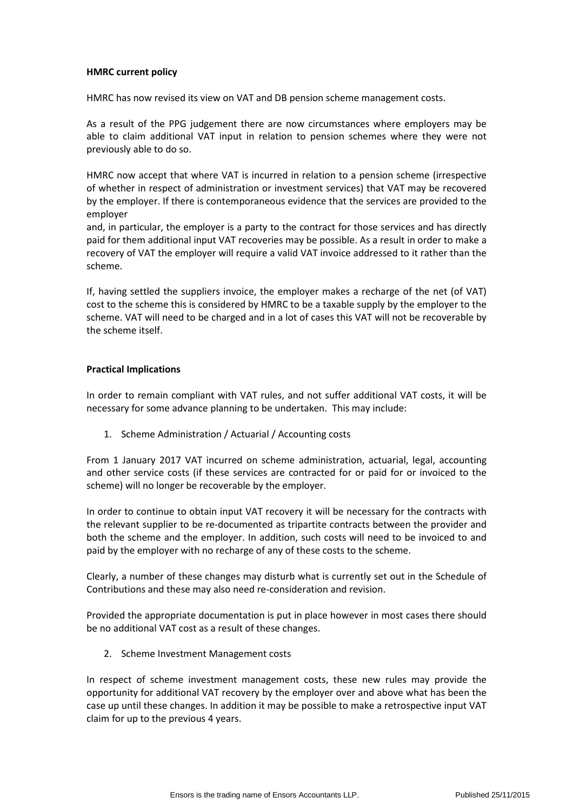### **HMRC current policy**

HMRC has now revised its view on VAT and DB pension scheme management costs.

As a result of the PPG judgement there are now circumstances where employers may be able to claim additional VAT input in relation to pension schemes where they were not previously able to do so.

HMRC now accept that where VAT is incurred in relation to a pension scheme (irrespective of whether in respect of administration or investment services) that VAT may be recovered by the employer. If there is contemporaneous evidence that the services are provided to the employer

and, in particular, the employer is a party to the contract for those services and has directly paid for them additional input VAT recoveries may be possible. As a result in order to make a recovery of VAT the employer will require a valid VAT invoice addressed to it rather than the scheme.

If, having settled the suppliers invoice, the employer makes a recharge of the net (of VAT) cost to the scheme this is considered by HMRC to be a taxable supply by the employer to the scheme. VAT will need to be charged and in a lot of cases this VAT will not be recoverable by the scheme itself.

### **Practical Implications**

In order to remain compliant with VAT rules, and not suffer additional VAT costs, it will be necessary for some advance planning to be undertaken. This may include:

1. Scheme Administration / Actuarial / Accounting costs

From 1 January 2017 VAT incurred on scheme administration, actuarial, legal, accounting and other service costs (if these services are contracted for or paid for or invoiced to the scheme) will no longer be recoverable by the employer.

In order to continue to obtain input VAT recovery it will be necessary for the contracts with the relevant supplier to be re-documented as tripartite contracts between the provider and both the scheme and the employer. In addition, such costs will need to be invoiced to and paid by the employer with no recharge of any of these costs to the scheme.

Clearly, a number of these changes may disturb what is currently set out in the Schedule of Contributions and these may also need re-consideration and revision.

Provided the appropriate documentation is put in place however in most cases there should be no additional VAT cost as a result of these changes.

2. Scheme Investment Management costs

In respect of scheme investment management costs, these new rules may provide the opportunity for additional VAT recovery by the employer over and above what has been the case up until these changes. In addition it may be possible to make a retrospective input VAT claim for up to the previous 4 years.